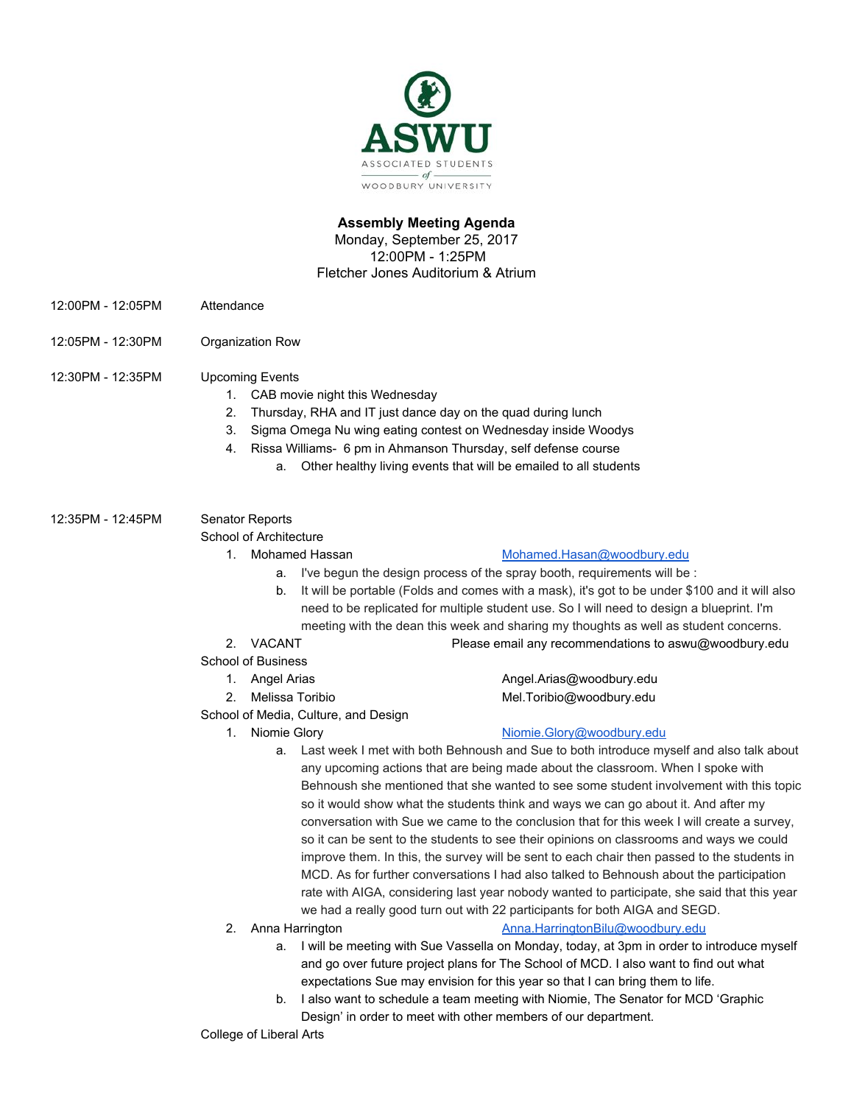

# **Assembly Meeting Agenda**

Monday, September 25, 2017 12:00PM - 1:25PM Fletcher Jones Auditorium & Atrium

- 12:00PM 12:05PM Attendance
- 12:05PM 12:30PM Organization Row

12:30PM - 12:35PM Upcoming Events

- 1. CAB movie night this Wednesday
- 2. Thursday, RHA and IT just dance day on the quad during lunch
- 3. Sigma Omega Nu wing eating contest on Wednesday inside Woodys
- 4. Rissa Williams- 6 pm in Ahmanson Thursday, self defense course
	- a. Other healthy living events that will be emailed to all students

12:35PM - 12:45PM Senator Reports School of Architecture

# 1. Mohamed Hassan [Mohamed.Hasan@woodbury.edu](mailto:Mohamed.Hasan@woodbury.edu)

- a. I've begun the design process of the spray booth, requirements will be :
- b. It will be portable (Folds and comes with a mask), it's got to be under \$100 and it will also need to be replicated for multiple student use. So I will need to design a blueprint. I'm meeting with the dean this week and sharing my thoughts as well as student concerns.
- 2. VACANT Please email any recommendations to aswu@woodbury.edu
- School of Business
	- 1. Angel Arias **[Angel.Arias@woodbury.edu](mailto:Angel.Arias@woodbury.edu)**
	- 2. Melissa Toribio **Mel.Toribio@woodbury.edu**
- School of Media, Culture, and Design
	-

# 1. Niomie Glory **[Niomie.Glory@woodbury.edu](mailto:Niomie.Glory@woodbury.edu)**

- a. Last week I met with both Behnoush and Sue to both introduce myself and also talk about any upcoming actions that are being made about the classroom. When I spoke with Behnoush she mentioned that she wanted to see some student involvement with this topic so it would show what the students think and ways we can go about it. And after my conversation with Sue we came to the conclusion that for this week I will create a survey, so it can be sent to the students to see their opinions on classrooms and ways we could improve them. In this, the survey will be sent to each chair then passed to the students in MCD. As for further conversations I had also talked to Behnoush about the participation rate with AIGA, considering last year nobody wanted to participate, she said that this year we had a really good turn out with 22 participants for both AIGA and SEGD.
- 

## 2. Anna Harrington **[Anna.HarringtonBilu@woodbury.edu](mailto:Anna.HarringtonBilu@woodbury.edu)**

- a. I will be meeting with Sue Vassella on Monday, today, at 3pm in order to introduce myself and go over future project plans for The School of MCD. I also want to find out what expectations Sue may envision for this year so that I can bring them to life.
- b. I also want to schedule a team meeting with Niomie, The Senator for MCD 'Graphic Design' in order to meet with other members of our department.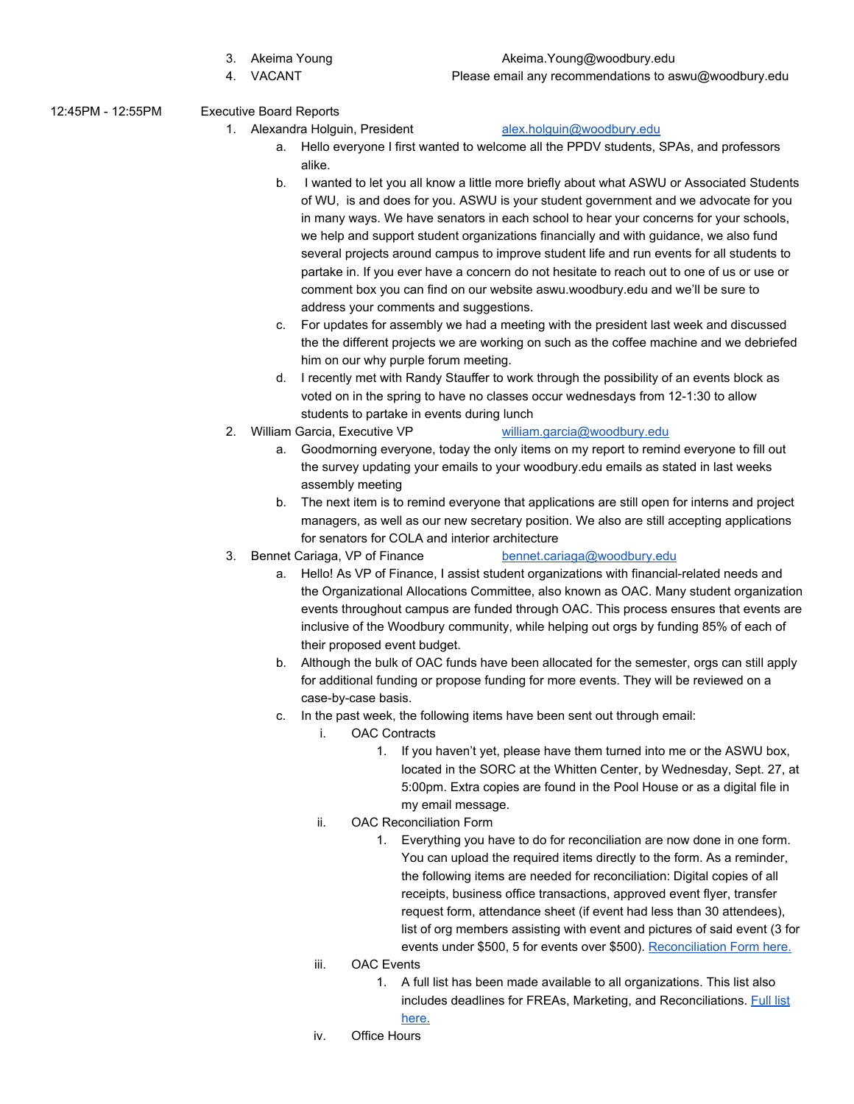- 
- 

## 3. Akeima Young **Akeima.**Young@woodbury.edu

- 4. VACANT Please email any recommendations to aswu@woodbury.edu
- 12:45PM 12:55PM Executive Board Reports
	- 1. Alexandra Holguin, President [alex.holguin@woodbury.edu](mailto:alex.holguin@woodbury.edu)

- a. Hello everyone I first wanted to welcome all the PPDV students, SPAs, and professors alike.
- b. I wanted to let you all know a little more briefly about what ASWU or Associated Students of WU, is and does for you. ASWU is your student government and we advocate for you in many ways. We have senators in each school to hear your concerns for your schools, we help and support student organizations financially and with guidance, we also fund several projects around campus to improve student life and run events for all students to partake in. If you ever have a concern do not hesitate to reach out to one of us or use or comment box you can find on our website aswu.woodbury.edu and we'll be sure to address your comments and suggestions.
- c. For updates for assembly we had a meeting with the president last week and discussed the the different projects we are working on such as the coffee machine and we debriefed him on our why purple forum meeting.
- d. I recently met with Randy Stauffer to work through the possibility of an events block as voted on in the spring to have no classes occur wednesdays from 12-1:30 to allow students to partake in events during lunch
- 2. William Garcia, Executive VP [william.garcia@woodbury.edu](mailto:william.garcia@woodbury.edu)
	- a. Goodmorning everyone, today the only items on my report to remind everyone to fill out the survey updating your emails to your woodbury.edu emails as stated in last weeks assembly meeting
	- b. The next item is to remind everyone that applications are still open for interns and project managers, as well as our new secretary position. We also are still accepting applications for senators for COLA and interior architecture
- 3. Bennet Cariaga, VP of Finance [bennet.cariaga@woodbury.edu](mailto:bennet.cariaga@woodbury.edu)

- a. Hello! As VP of Finance, I assist student organizations with financial-related needs and the Organizational Allocations Committee, also known as OAC. Many student organization events throughout campus are funded through OAC. This process ensures that events are inclusive of the Woodbury community, while helping out orgs by funding 85% of each of their proposed event budget.
- b. Although the bulk of OAC funds have been allocated for the semester, orgs can still apply for additional funding or propose funding for more events. They will be reviewed on a case-by-case basis.
- c. In the past week, the following items have been sent out through email:
	- i. OAC Contracts
		- 1. If you haven't yet, please have them turned into me or the ASWU box, located in the SORC at the Whitten Center, by Wednesday, Sept. 27, at 5:00pm. Extra copies are found in the Pool House or as a digital file in my email message.
	- ii. OAC Reconciliation Form
		- 1. Everything you have to do for reconciliation are now done in one form. You can upload the required items directly to the form. As a reminder, the following items are needed for reconciliation: Digital copies of all receipts, business office transactions, approved event flyer, transfer request form, attendance sheet (if event had less than 30 attendees), list of org members assisting with event and pictures of said event (3 for events under \$500, 5 for events over \$500). [Reconciliation](https://goo.gl/forms/ykfN9iRPfUPOtvS32) Form here.
	- iii. OAC Events
		- 1. A full list has been made available to all organizations. This list also includes deadlines for FREAs, Marketing, and Reconciliations. [Full](https://docs.google.com/spreadsheets/d/1LVgTp0aHTi4UAQnNX9Yluv_C-WItGfMfxSRefjHwZn0/edit?usp=sharing) list

# [here.](https://docs.google.com/spreadsheets/d/1LVgTp0aHTi4UAQnNX9Yluv_C-WItGfMfxSRefjHwZn0/edit?usp=sharing)

iv. Office Hours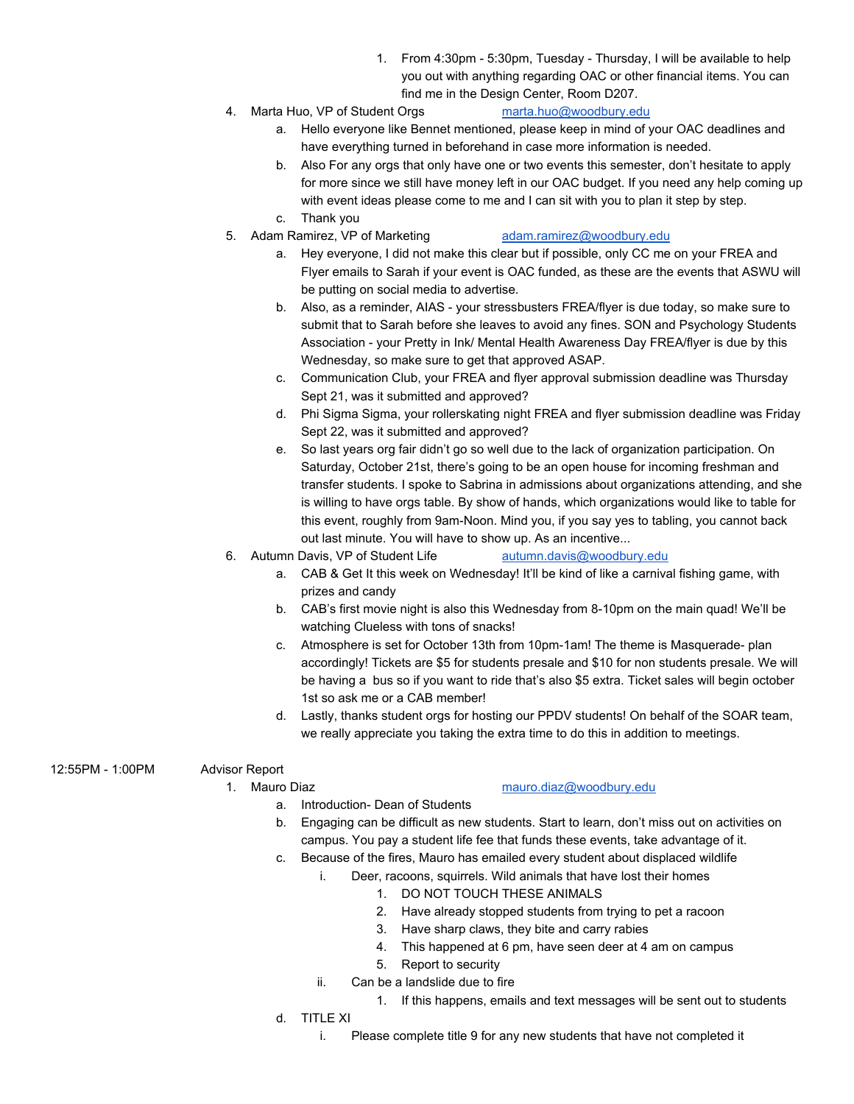- 1. From 4:30pm 5:30pm, Tuesday Thursday, I will be available to help you out with anything regarding OAC or other financial items. You can find me in the Design Center, Room D207.
- 4. Marta Huo, VP of Student Orgs [marta.huo@woodbury.edu](mailto:marta.huo@woodbury.edu)
	- a. Hello everyone like Bennet mentioned, please keep in mind of your OAC deadlines and have everything turned in beforehand in case more information is needed.
	- b. Also For any orgs that only have one or two events this semester, don't hesitate to apply for more since we still have money left in our OAC budget. If you need any help coming up with event ideas please come to me and I can sit with you to plan it step by step.
	- c. Thank you

## 5. Adam Ramirez, VP of Marketing [adam.ramirez@woodbury.edu](mailto:adam.ramirez@woodbury.edu)

- a. Hey everyone, I did not make this clear but if possible, only CC me on your FREA and Flyer emails to Sarah if your event is OAC funded, as these are the events that ASWU will be putting on social media to advertise.
- b. Also, as a reminder, AIAS your stressbusters FREA/flyer is due today, so make sure to submit that to Sarah before she leaves to avoid any fines. SON and Psychology Students Association - your Pretty in Ink/ Mental Health Awareness Day FREA/flyer is due by this Wednesday, so make sure to get that approved ASAP.
- c. Communication Club, your FREA and flyer approval submission deadline was Thursday Sept 21, was it submitted and approved?
- d. Phi Sigma Sigma, your rollerskating night FREA and flyer submission deadline was Friday Sept 22, was it submitted and approved?
- e. So last years org fair didn't go so well due to the lack of organization participation. On Saturday, October 21st, there's going to be an open house for incoming freshman and transfer students. I spoke to Sabrina in admissions about organizations attending, and she is willing to have orgs table. By show of hands, which organizations would like to table for this event, roughly from 9am-Noon. Mind you, if you say yes to tabling, you cannot back out last minute. You will have to show up. As an incentive...
- 6. Autumn Davis, VP of Student Life [autumn.davis@woodbury.edu](mailto:autumn.davis@woodbury.edu)
	- a. CAB & Get It this week on Wednesday! It'll be kind of like a carnival fishing game, with prizes and candy
	- b. CAB's first movie night is also this Wednesday from 8-10pm on the main quad! We'll be watching Clueless with tons of snacks!
	- c. Atmosphere is set for October 13th from 10pm-1am! The theme is Masquerade- plan accordingly! Tickets are \$5 for students presale and \$10 for non students presale. We will be having a bus so if you want to ride that's also \$5 extra. Ticket sales will begin october 1st so ask me or a CAB member!
	- d. Lastly, thanks student orgs for hosting our PPDV students! On behalf of the SOAR team, we really appreciate you taking the extra time to do this in addition to meetings.

# 12:55PM - 1:00PM Advisor Report

## 1. Mauro Diaz [mauro.diaz@woodbury.edu](mailto:mauro.diaz@woodbury.edu)

- a. Introduction- Dean of Students
- b. Engaging can be difficult as new students. Start to learn, don't miss out on activities on campus. You pay a student life fee that funds these events, take advantage of it.
- c. Because of the fires, Mauro has emailed every student about displaced wildlife
	- i. Deer, racoons, squirrels. Wild animals that have lost their homes
		- 1. DO NOT TOUCH THESE ANIMALS
		- 2. Have already stopped students from trying to pet a racoon
		- 3. Have sharp claws, they bite and carry rabies
		- 4. This happened at 6 pm, have seen deer at 4 am on campus
		- 5. Report to security
	- ii. Can be a landslide due to fire
		- 1. If this happens, emails and text messages will be sent out to students
- d. TITLE XI
	- i. Please complete title 9 for any new students that have not completed it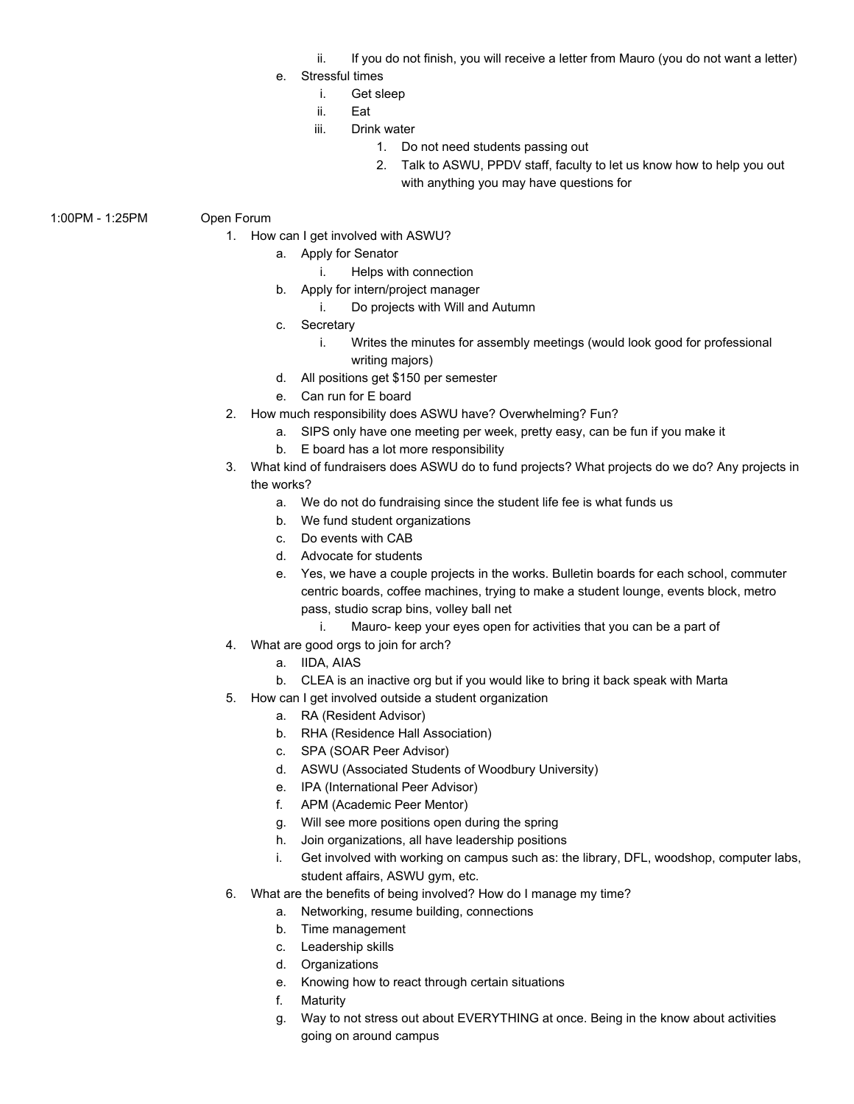- ii. If you do not finish, you will receive a letter from Mauro (you do not want a letter)
- e. Stressful times
	- i. Get sleep
	- ii. Eat
	- iii. Drink water
		- 1. Do not need students passing out
		- 2. Talk to ASWU, PPDV staff, faculty to let us know how to help you out with anything you may have questions for
- 1:00PM 1:25PM Open Forum
	- 1. How can I get involved with ASWU?
		- a. Apply for Senator
			- i. Helps with connection
		- b. Apply for intern/project manager
			- i. Do projects with Will and Autumn
		- c. Secretary
			- i. Writes the minutes for assembly meetings (would look good for professional writing majors)
		- d. All positions get \$150 per semester
		- e. Can run for E board
	- 2. How much responsibility does ASWU have? Overwhelming? Fun?
		- a. SIPS only have one meeting per week, pretty easy, can be fun if you make it
		- b. E board has a lot more responsibility
	- 3. What kind of fundraisers does ASWU do to fund projects? What projects do we do? Any projects in the works?
		- a. We do not do fundraising since the student life fee is what funds us
		- b. We fund student organizations
		- c. Do events with CAB
		- d. Advocate for students
		- e. Yes, we have a couple projects in the works. Bulletin boards for each school, commuter centric boards, coffee machines, trying to make a student lounge, events block, metro pass, studio scrap bins, volley ball net
			- i. Mauro- keep your eyes open for activities that you can be a part of
	- 4. What are good orgs to join for arch?
		- a. IIDA, AIAS
		- b. CLEA is an inactive org but if you would like to bring it back speak with Marta
	- 5. How can I get involved outside a student organization
		- a. RA (Resident Advisor)
		- b. RHA (Residence Hall Association)
		- c. SPA (SOAR Peer Advisor)
		- d. ASWU (Associated Students of Woodbury University)
		- e. IPA (International Peer Advisor)
		- f. APM (Academic Peer Mentor)
		- g. Will see more positions open during the spring
		- h. Join organizations, all have leadership positions
		- i. Get involved with working on campus such as: the library, DFL, woodshop, computer labs, student affairs, ASWU gym, etc.
	- 6. What are the benefits of being involved? How do I manage my time?
		- a. Networking, resume building, connections
		- b. Time management
		- c. Leadership skills
		- d. Organizations
		- e. Knowing how to react through certain situations
		- f. Maturity
		- g. Way to not stress out about EVERYTHING at once. Being in the know about activities going on around campus